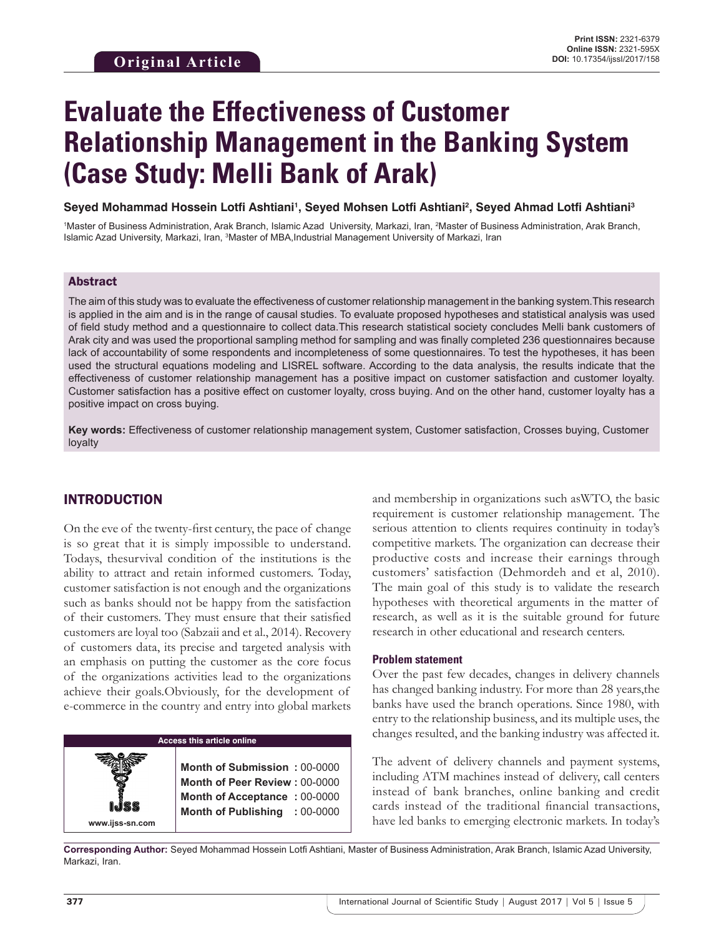# **Evaluate the Effectiveness of Customer Relationship Management in the Banking System (Case Study: Melli Bank of Arak)**

**Seyed Mohammad Hossein Lotfi Ashtiani1 , Seyed Mohsen Lotfi Ashtiani2 , Seyed Ahmad Lotfi Ashtiani3**

<sup>1</sup>Master of Business Administration, Arak Branch, Islamic Azad University, Markazi, Iran, <sup>2</sup>Master of Business Administration, Arak Branch, Islamic Azad University, Markazi, Iran, <sup>3</sup>Master of MBA,Industrial Management University of Markazi, Iran

#### Abstract

The aim of this study was to evaluate the effectiveness of customer relationship management in the banking system.This research is applied in the aim and is in the range of causal studies. To evaluate proposed hypotheses and statistical analysis was used of field study method and a questionnaire to collect data.This research statistical society concludes Melli bank customers of Arak city and was used the proportional sampling method for sampling and was finally completed 236 questionnaires because lack of accountability of some respondents and incompleteness of some questionnaires. To test the hypotheses, it has been used the structural equations modeling and LISREL software. According to the data analysis, the results indicate that the effectiveness of customer relationship management has a positive impact on customer satisfaction and customer loyalty. Customer satisfaction has a positive effect on customer loyalty, cross buying. And on the other hand, customer loyalty has a positive impact on cross buying.

**Key words:** Effectiveness of customer relationship management system, Customer satisfaction, Crosses buying, Customer loyalty

## INTRODUCTION

On the eve of the twenty-first century, the pace of change is so great that it is simply impossible to understand. Todays, thesurvival condition of the institutions is the ability to attract and retain informed customers. Today, customer satisfaction is not enough and the organizations such as banks should not be happy from the satisfaction of their customers. They must ensure that their satisfied customers are loyal too (Sabzaii and et al., 2014). Recovery of customers data, its precise and targeted analysis with an emphasis on putting the customer as the core focus of the organizations activities lead to the organizations achieve their goals.Obviously, for the development of e-commerce in the country and entry into global markets

## **Access this article online**

**Month of Submission :** 00-0000 **Month of Peer Review :** 00-0000 **Month of Acceptance :** 00-0000 **Month of Publishing :** 00-0000 and membership in organizations such asWTO, the basic requirement is customer relationship management. The serious attention to clients requires continuity in today's competitive markets. The organization can decrease their productive costs and increase their earnings through customers' satisfaction (Dehmordeh and et al, 2010). The main goal of this study is to validate the research hypotheses with theoretical arguments in the matter of research, as well as it is the suitable ground for future research in other educational and research centers.

#### **Problem statement**

Over the past few decades, changes in delivery channels has changed banking industry. For more than 28 years,the banks have used the branch operations. Since 1980, with entry to the relationship business, and its multiple uses, the changes resulted, and the banking industry was affected it.

The advent of delivery channels and payment systems, including ATM machines instead of delivery, call centers instead of bank branches, online banking and credit cards instead of the traditional financial transactions, have led banks to emerging electronic markets. In today's

**Corresponding Author:** Seyed Mohammad Hossein Lotfi Ashtiani, Master of Business Administration, Arak Branch, Islamic Azad University, Markazi, Iran.

**www.ijss-sn.com**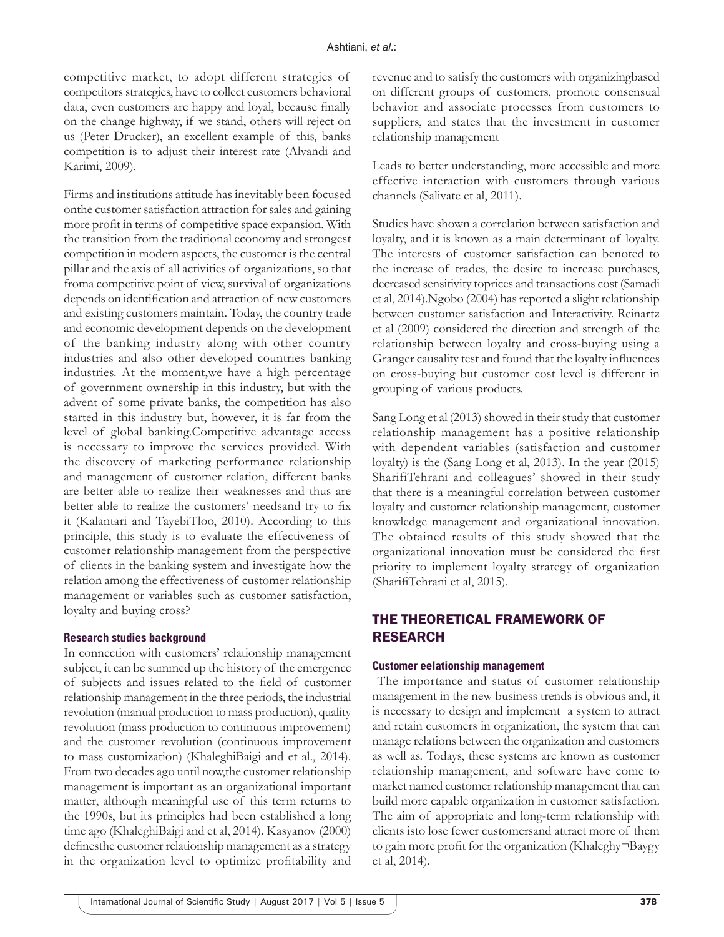competitive market, to adopt different strategies of competitors strategies, have to collect customers behavioral data, even customers are happy and loyal, because finally on the change highway, if we stand, others will reject on us (Peter Drucker), an excellent example of this, banks competition is to adjust their interest rate (Alvandi and Karimi, 2009).

Firms and institutions attitude has inevitably been focused onthe customer satisfaction attraction for sales and gaining more profit in terms of competitive space expansion. With the transition from the traditional economy and strongest competition in modern aspects, the customer is the central pillar and the axis of all activities of organizations, so that froma competitive point of view, survival of organizations depends on identification and attraction of new customers and existing customers maintain. Today, the country trade and economic development depends on the development of the banking industry along with other country industries and also other developed countries banking industries. At the moment,we have a high percentage of government ownership in this industry, but with the advent of some private banks, the competition has also started in this industry but, however, it is far from the level of global banking.Competitive advantage access is necessary to improve the services provided. With the discovery of marketing performance relationship and management of customer relation, different banks are better able to realize their weaknesses and thus are better able to realize the customers' needsand try to fix it (Kalantari and TayebiTloo, 2010). According to this principle, this study is to evaluate the effectiveness of customer relationship management from the perspective of clients in the banking system and investigate how the relation among the effectiveness of customer relationship management or variables such as customer satisfaction, loyalty and buying cross?

#### **Research studies background**

In connection with customers' relationship management subject, it can be summed up the history of the emergence of subjects and issues related to the field of customer relationship management in the three periods, the industrial revolution (manual production to mass production), quality revolution (mass production to continuous improvement) and the customer revolution (continuous improvement to mass customization) (KhaleghiBaigi and et al., 2014). From two decades ago until now,the customer relationship management is important as an organizational important matter, although meaningful use of this term returns to the 1990s, but its principles had been established a long time ago (KhaleghiBaigi and et al, 2014). Kasyanov (2000) definesthe customer relationship management as a strategy in the organization level to optimize profitability and

revenue and to satisfy the customers with organizingbased on different groups of customers, promote consensual behavior and associate processes from customers to suppliers, and states that the investment in customer relationship management

Leads to better understanding, more accessible and more effective interaction with customers through various channels (Salivate et al, 2011).

Studies have shown a correlation between satisfaction and loyalty, and it is known as a main determinant of loyalty. The interests of customer satisfaction can benoted to the increase of trades, the desire to increase purchases, decreased sensitivity toprices and transactions cost (Samadi et al, 2014).Ngobo (2004) has reported a slight relationship between customer satisfaction and Interactivity. Reinartz et al (2009) considered the direction and strength of the relationship between loyalty and cross-buying using a Granger causality test and found that the loyalty influences on cross-buying but customer cost level is different in grouping of various products.

Sang Long et al (2013) showed in their study that customer relationship management has a positive relationship with dependent variables (satisfaction and customer loyalty) is the (Sang Long et al, 2013). In the year (2015) SharifiTehrani and colleagues' showed in their study that there is a meaningful correlation between customer loyalty and customer relationship management, customer knowledge management and organizational innovation. The obtained results of this study showed that the organizational innovation must be considered the first priority to implement loyalty strategy of organization (SharifiTehrani et al, 2015).

# THE THEORETICAL FRAMEWORK OF RESEARCH

#### **Customer eelationship management**

 The importance and status of customer relationship management in the new business trends is obvious and, it is necessary to design and implement a system to attract and retain customers in organization, the system that can manage relations between the organization and customers as well as. Todays, these systems are known as customer relationship management, and software have come to market named customer relationship management that can build more capable organization in customer satisfaction. The aim of appropriate and long-term relationship with clients isto lose fewer customersand attract more of them to gain more profit for the organization (Khaleghy¬Baygy et al, 2014).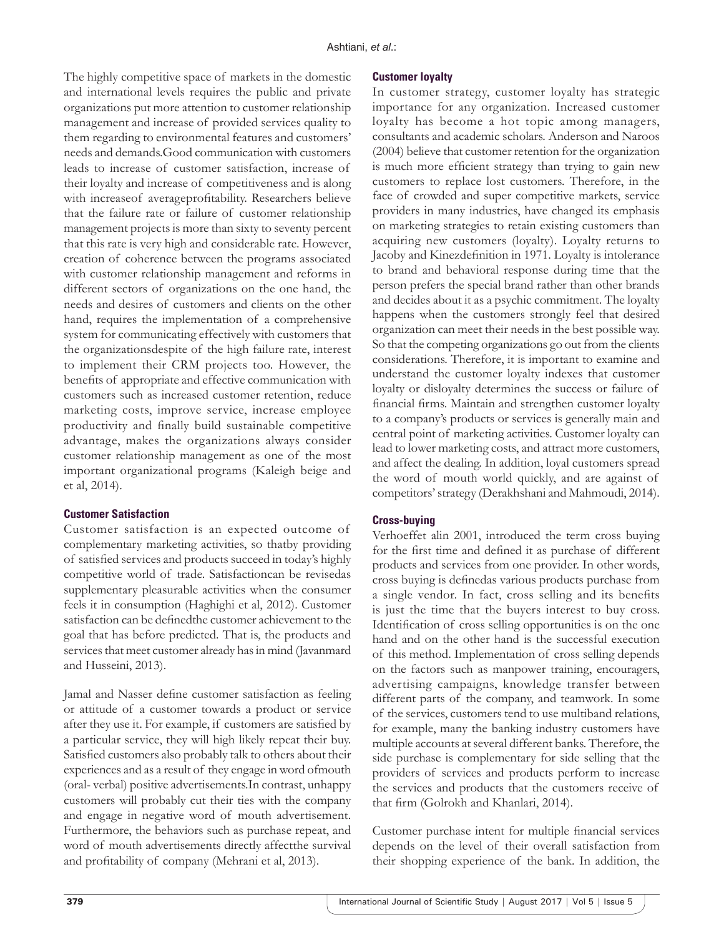The highly competitive space of markets in the domestic and international levels requires the public and private organizations put more attention to customer relationship management and increase of provided services quality to them regarding to environmental features and customers' needs and demands.Good communication with customers leads to increase of customer satisfaction, increase of their loyalty and increase of competitiveness and is along with increaseof averageprofitability. Researchers believe that the failure rate or failure of customer relationship management projects is more than sixty to seventy percent that this rate is very high and considerable rate. However, creation of coherence between the programs associated with customer relationship management and reforms in different sectors of organizations on the one hand, the needs and desires of customers and clients on the other hand, requires the implementation of a comprehensive system for communicating effectively with customers that the organizationsdespite of the high failure rate, interest to implement their CRM projects too. However, the benefits of appropriate and effective communication with customers such as increased customer retention, reduce marketing costs, improve service, increase employee productivity and finally build sustainable competitive advantage, makes the organizations always consider customer relationship management as one of the most important organizational programs (Kaleigh beige and et al, 2014).

#### **Customer Satisfaction**

Customer satisfaction is an expected outcome of complementary marketing activities, so thatby providing of satisfied services and products succeed in today's highly competitive world of trade. Satisfactioncan be revisedas supplementary pleasurable activities when the consumer feels it in consumption (Haghighi et al, 2012). Customer satisfaction can be definedthe customer achievement to the goal that has before predicted. That is, the products and services that meet customer already has in mind (Javanmard and Husseini, 2013).

Jamal and Nasser define customer satisfaction as feeling or attitude of a customer towards a product or service after they use it. For example, if customers are satisfied by a particular service, they will high likely repeat their buy. Satisfied customers also probably talk to others about their experiences and as a result of they engage in word ofmouth (oral- verbal) positive advertisements.In contrast, unhappy customers will probably cut their ties with the company and engage in negative word of mouth advertisement. Furthermore, the behaviors such as purchase repeat, and word of mouth advertisements directly affectthe survival and profitability of company (Mehrani et al, 2013).

#### **Customer loyalty**

In customer strategy, customer loyalty has strategic importance for any organization. Increased customer loyalty has become a hot topic among managers, consultants and academic scholars. Anderson and Naroos (2004) believe that customer retention for the organization is much more efficient strategy than trying to gain new customers to replace lost customers. Therefore, in the face of crowded and super competitive markets, service providers in many industries, have changed its emphasis on marketing strategies to retain existing customers than acquiring new customers (loyalty). Loyalty returns to Jacoby and Kinezdefinition in 1971. Loyalty is intolerance to brand and behavioral response during time that the person prefers the special brand rather than other brands and decides about it as a psychic commitment. The loyalty happens when the customers strongly feel that desired organization can meet their needs in the best possible way. So that the competing organizations go out from the clients considerations. Therefore, it is important to examine and understand the customer loyalty indexes that customer loyalty or disloyalty determines the success or failure of financial firms. Maintain and strengthen customer loyalty to a company's products or services is generally main and central point of marketing activities. Customer loyalty can lead to lower marketing costs, and attract more customers, and affect the dealing. In addition, loyal customers spread the word of mouth world quickly, and are against of competitors' strategy (Derakhshani and Mahmoudi, 2014).

#### **Cross-buying**

Verhoeffet alin 2001, introduced the term cross buying for the first time and defined it as purchase of different products and services from one provider. In other words, cross buying is definedas various products purchase from a single vendor. In fact, cross selling and its benefits is just the time that the buyers interest to buy cross. Identification of cross selling opportunities is on the one hand and on the other hand is the successful execution of this method. Implementation of cross selling depends on the factors such as manpower training, encouragers, advertising campaigns, knowledge transfer between different parts of the company, and teamwork. In some of the services, customers tend to use multiband relations, for example, many the banking industry customers have multiple accounts at several different banks. Therefore, the side purchase is complementary for side selling that the providers of services and products perform to increase the services and products that the customers receive of that firm (Golrokh and Khanlari, 2014).

Customer purchase intent for multiple financial services depends on the level of their overall satisfaction from their shopping experience of the bank. In addition, the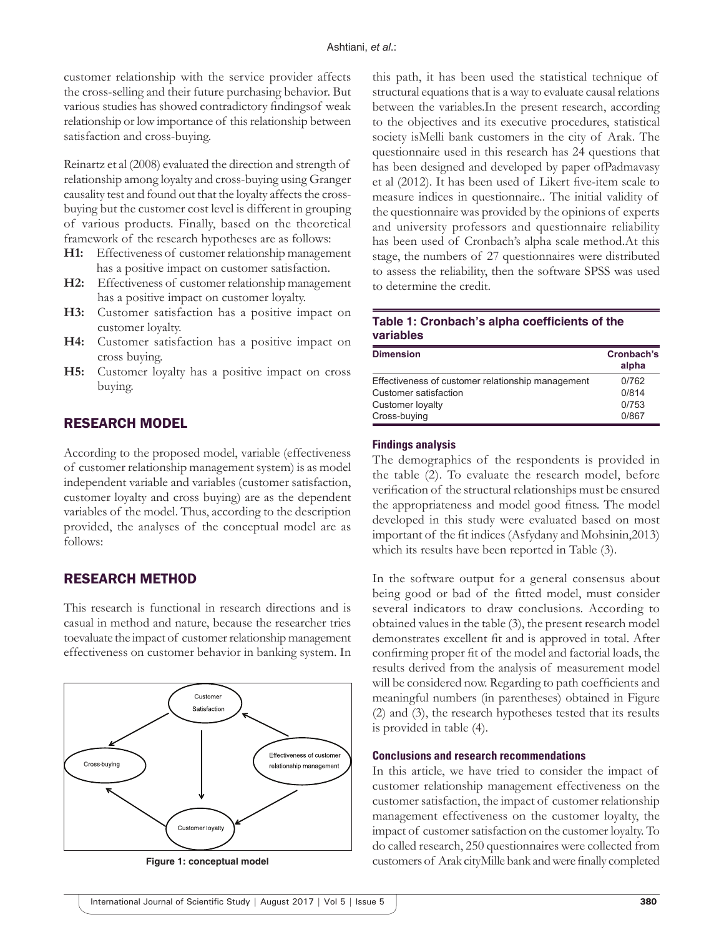customer relationship with the service provider affects the cross-selling and their future purchasing behavior. But various studies has showed contradictory findingsof weak relationship or low importance of this relationship between satisfaction and cross-buying.

Reinartz et al (2008) evaluated the direction and strength of relationship among loyalty and cross-buying using Granger causality test and found out that the loyalty affects the crossbuying but the customer cost level is different in grouping of various products. Finally, based on the theoretical framework of the research hypotheses are as follows:

- **H1:** Effectiveness of customer relationship management has a positive impact on customer satisfaction.
- **H2:** Effectiveness of customer relationship management has a positive impact on customer loyalty.
- **H3:** Customer satisfaction has a positive impact on customer loyalty.
- **H4:** Customer satisfaction has a positive impact on cross buying.
- **H5:** Customer loyalty has a positive impact on cross buying.

## RESEARCH MODEL

According to the proposed model, variable (effectiveness of customer relationship management system) is as model independent variable and variables (customer satisfaction, customer loyalty and cross buying) are as the dependent variables of the model. Thus, according to the description provided, the analyses of the conceptual model are as follows:

## RESEARCH METHOD

This research is functional in research directions and is casual in method and nature, because the researcher tries toevaluate the impact of customer relationship management effectiveness on customer behavior in banking system. In



this path, it has been used the statistical technique of structural equations that is a way to evaluate causal relations between the variables.In the present research, according to the objectives and its executive procedures, statistical society isMelli bank customers in the city of Arak. The questionnaire used in this research has 24 questions that has been designed and developed by paper ofPadmavasy et al (2012). It has been used of Likert five-item scale to measure indices in questionnaire.. The initial validity of the questionnaire was provided by the opinions of experts and university professors and questionnaire reliability has been used of Cronbach's alpha scale method.At this stage, the numbers of 27 questionnaires were distributed to assess the reliability, then the software SPSS was used to determine the credit.

## **Table 1: Cronbach's alpha coefficients of the variables**

| <b>Dimension</b>                                  | Cronbach's<br>alpha |
|---------------------------------------------------|---------------------|
| Effectiveness of customer relationship management | 0/762               |
| Customer satisfaction                             | 0/814               |
| Customer loyalty                                  | 0/753               |
| Cross-buving                                      | 0/867               |

#### **Findings analysis**

The demographics of the respondents is provided in the table (2). To evaluate the research model, before verification of the structural relationships must be ensured the appropriateness and model good fitness. The model developed in this study were evaluated based on most important of the fit indices (Asfydany and Mohsinin,2013) which its results have been reported in Table (3).

In the software output for a general consensus about being good or bad of the fitted model, must consider several indicators to draw conclusions. According to obtained values in the table (3), the present research model demonstrates excellent fit and is approved in total. After confirming proper fit of the model and factorial loads, the results derived from the analysis of measurement model will be considered now. Regarding to path coefficients and meaningful numbers (in parentheses) obtained in Figure (2) and (3), the research hypotheses tested that its results is provided in table (4).

#### **Conclusions and research recommendations**

In this article, we have tried to consider the impact of customer relationship management effectiveness on the customer satisfaction, the impact of customer relationship management effectiveness on the customer loyalty, the impact of customer satisfaction on the customer loyalty. To do called research, 250 questionnaires were collected from **Figure 1: conceptual model** customers of Arak cityMille bank and were finally completed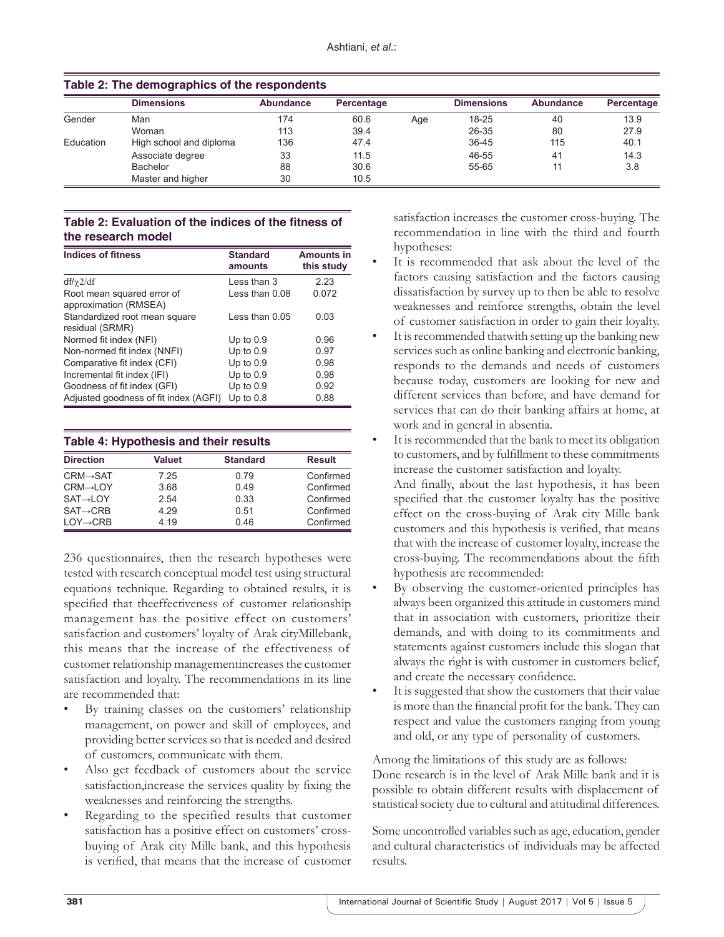|           | <b>Dimensions</b>       | Abundance | Percentage |     | <b>Dimensions</b> | Abundance      | Percentage |
|-----------|-------------------------|-----------|------------|-----|-------------------|----------------|------------|
| Gender    | Man                     | 174       | 60.6       | Age | $18 - 25$         | 40             | 13.9       |
|           | Woman                   | 113       | 39.4       |     | 26-35             | 80             | 27.9       |
| Education | High school and diploma | 136       | 47.4       |     | $36 - 45$         | 115            | 40.1       |
|           | Associate degree        | 33        | 11.5       |     | 46-55             | 4 <sup>1</sup> | 14.3       |
|           | Bachelor                | 88        | 30.6       |     | 55-65             |                | 3.8        |
|           | Master and higher       | 30        | 10.5       |     |                   |                |            |

## **Table 2: The demographics of the respondents**

## **Table 2: Evaluation of the indices of the fitness of the research model**

| <b>Indices of fitness</b>                           | <b>Standard</b><br>amounts | <b>Amounts in</b><br>this study |
|-----------------------------------------------------|----------------------------|---------------------------------|
| $df/\gamma$ 2/df                                    | Less than 3                | 2.23                            |
| Root mean squared error of<br>approximation (RMSEA) | Less than 0.08             | 0.072                           |
| Standardized root mean square<br>residual (SRMR)    | Less than $0.05$           | 0.03                            |
| Normed fit index (NFI)                              | Up to $0.9$                | 0.96                            |
| Non-normed fit index (NNFI)                         | Up to $0.9$                | 0.97                            |
| Comparative fit index (CFI)                         | Up to $0.9$                | 0.98                            |
| Incremental fit index (IFI)                         | Up to $0.9$                | 0.98                            |
| Goodness of fit index (GFI)                         | Up to $0.9$                | 0.92                            |
| Adjusted goodness of fit index (AGFI)               | Up to $0.8$                | 0.88                            |

| Table 4: Hypothesis and their results |               |                 |               |
|---------------------------------------|---------------|-----------------|---------------|
| <b>Direction</b>                      | <b>Valuet</b> | <b>Standard</b> | <b>Result</b> |

| $CRM \rightarrow SAT$ | 7.25 | 0.79 | Confirmed |
|-----------------------|------|------|-----------|
| $CRM \rightarrow LOY$ | 3.68 | 0.49 | Confirmed |
| $SAT \rightarrow LOY$ | 2.54 | 0.33 | Confirmed |
| $SAT \rightarrow CRB$ | 4 29 | 0.51 | Confirmed |
| $LOY \rightarrow CRB$ | 4 19 | 046  | Confirmed |
|                       |      |      |           |

236 questionnaires, then the research hypotheses were tested with research conceptual model test using structural equations technique. Regarding to obtained results, it is specified that theeffectiveness of customer relationship management has the positive effect on customers' satisfaction and customers' loyalty of Arak cityMillebank, this means that the increase of the effectiveness of customer relationship managementincreases the customer satisfaction and loyalty. The recommendations in its line are recommended that:

- By training classes on the customers' relationship management, on power and skill of employees, and providing better services so that is needed and desired of customers, communicate with them.
- Also get feedback of customers about the service satisfaction,increase the services quality by fixing the weaknesses and reinforcing the strengths.
- Regarding to the specified results that customer satisfaction has a positive effect on customers' crossbuying of Arak city Mille bank, and this hypothesis is verified, that means that the increase of customer

satisfaction increases the customer cross-buying. The recommendation in line with the third and fourth hypotheses:

- It is recommended that ask about the level of the factors causing satisfaction and the factors causing dissatisfaction by survey up to then be able to resolve weaknesses and reinforce strengths, obtain the level of customer satisfaction in order to gain their loyalty.
- It is recommended thatwith setting up the banking new services such as online banking and electronic banking, responds to the demands and needs of customers because today, customers are looking for new and different services than before, and have demand for services that can do their banking affairs at home, at work and in general in absentia.
- It is recommended that the bank to meet its obligation to customers, and by fulfillment to these commitments increase the customer satisfaction and loyalty.

And finally, about the last hypothesis, it has been specified that the customer loyalty has the positive effect on the cross-buying of Arak city Mille bank customers and this hypothesis is verified, that means that with the increase of customer loyalty, increase the cross-buying. The recommendations about the fifth hypothesis are recommended:

- By observing the customer-oriented principles has always been organized this attitude in customers mind that in association with customers, prioritize their demands, and with doing to its commitments and statements against customers include this slogan that always the right is with customer in customers belief, and create the necessary confidence.
- It is suggested that show the customers that their value is more than the financial profit for the bank. They can respect and value the customers ranging from young and old, or any type of personality of customers.

Among the limitations of this study are as follows: Done research is in the level of Arak Mille bank and it is possible to obtain different results with displacement of statistical society due to cultural and attitudinal differences.

Some uncontrolled variables such as age, education, gender and cultural characteristics of individuals may be affected results.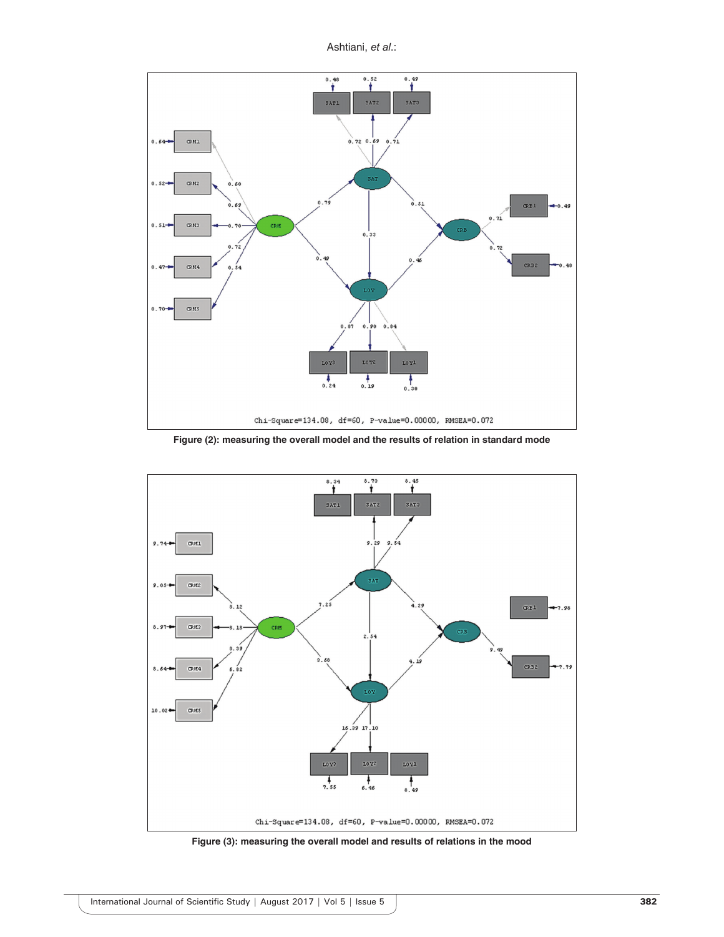Ashtiani, *et al*.:



**Figure (2): measuring the overall model and the results of relation in standard mode**



**Figure (3): measuring the overall model and results of relations in the mood**